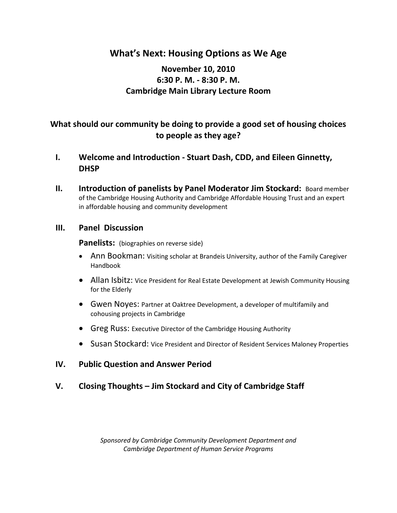# **What's Next: Housing Options as We Age**

## **November 10, 2010 6:30 P. M. - 8:30 P. M. Cambridge Main Library Lecture Room**

## **What should our community be doing to provide a good set of housing choices to people as they age?**

## **I. Welcome and Introduction - Stuart Dash, CDD, and Eileen Ginnetty, DHSP**

**II. Introduction of panelists by Panel Moderator Jim Stockard:** Board member of the Cambridge Housing Authority and Cambridge Affordable Housing Trust and an expert in affordable housing and community development

### **III. Panel Discussion**

**Panelists:** (biographies on reverse side)

- Ann Bookman: Visiting scholar at Brandeis University, author of the Family Caregiver Handbook
- Allan Isbitz: Vice President for Real Estate Development at Jewish Community Housing for the Elderly
- Gwen Noyes: Partner at Oaktree Development, a developer of multifamily and cohousing projects in Cambridge
- Greg Russ: Executive Director of the Cambridge Housing Authority
- Susan Stockard: Vice President and Director of Resident Services Maloney Properties

### **IV. Public Question and Answer Period**

## **V. Closing Thoughts – Jim Stockard and City of Cambridge Staff**

*Sponsored by Cambridge Community Development Department and Cambridge Department of Human Service Programs*